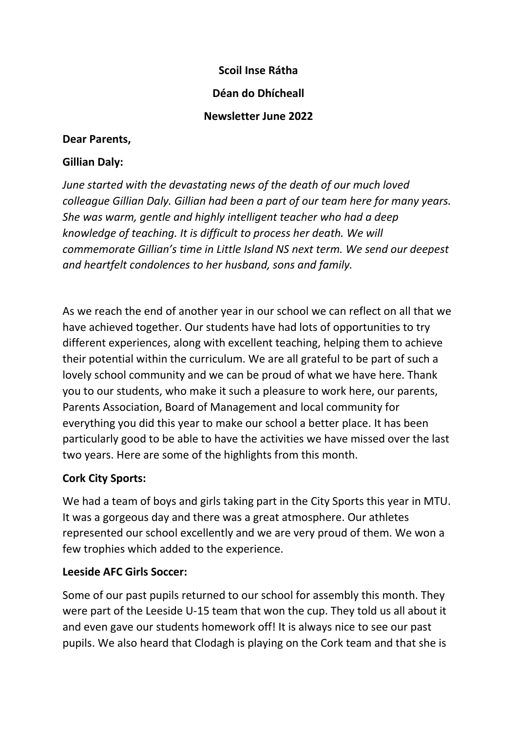#### **Scoil Inse Rátha**

**Déan do Dhícheall**

**Newsletter June 2022**

### **Dear Parents,**

# **Gillian Daly:**

*June started with the devastating news of the death of our much loved colleague Gillian Daly. Gillian had been a part of our team here for many years. She was warm, gentle and highly intelligent teacher who had a deep knowledge of teaching. It is difficult to process her death. We will commemorate Gillian's time in Little Island NS next term. We send our deepest and heartfelt condolences to her husband, sons and family.*

As we reach the end of another year in our school we can reflect on all that we have achieved together. Our students have had lots of opportunities to try different experiences, along with excellent teaching, helping them to achieve their potential within the curriculum. We are all grateful to be part of such a lovely school community and we can be proud of what we have here. Thank you to our students, who make it such a pleasure to work here, our parents, Parents Association, Board of Management and local community for everything you did this year to make our school a better place. It has been particularly good to be able to have the activities we have missed over the last two years. Here are some of the highlights from this month.

# **Cork City Sports:**

We had a team of boys and girls taking part in the City Sports this year in MTU. It was a gorgeous day and there was a great atmosphere. Our athletes represented our school excellently and we are very proud of them. We won a few trophies which added to the experience.

# **Leeside AFC Girls Soccer:**

Some of our past pupils returned to our school for assembly this month. They were part of the Leeside U-15 team that won the cup. They told us all about it and even gave our students homework off! It is always nice to see our past pupils. We also heard that Clodagh is playing on the Cork team and that she is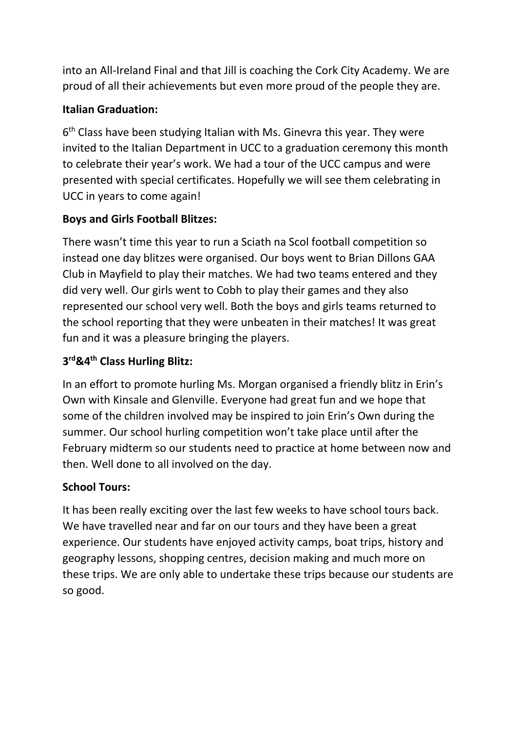into an All-Ireland Final and that Jill is coaching the Cork City Academy. We are proud of all their achievements but even more proud of the people they are.

### **Italian Graduation:**

6<sup>th</sup> Class have been studying Italian with Ms. Ginevra this year. They were invited to the Italian Department in UCC to a graduation ceremony this month to celebrate their year's work. We had a tour of the UCC campus and were presented with special certificates. Hopefully we will see them celebrating in UCC in years to come again!

# **Boys and Girls Football Blitzes:**

There wasn't time this year to run a Sciath na Scol football competition so instead one day blitzes were organised. Our boys went to Brian Dillons GAA Club in Mayfield to play their matches. We had two teams entered and they did very well. Our girls went to Cobh to play their games and they also represented our school very well. Both the boys and girls teams returned to the school reporting that they were unbeaten in their matches! It was great fun and it was a pleasure bringing the players.

# **3 rd&4th Class Hurling Blitz:**

In an effort to promote hurling Ms. Morgan organised a friendly blitz in Erin's Own with Kinsale and Glenville. Everyone had great fun and we hope that some of the children involved may be inspired to join Erin's Own during the summer. Our school hurling competition won't take place until after the February midterm so our students need to practice at home between now and then. Well done to all involved on the day.

# **School Tours:**

It has been really exciting over the last few weeks to have school tours back. We have travelled near and far on our tours and they have been a great experience. Our students have enjoyed activity camps, boat trips, history and geography lessons, shopping centres, decision making and much more on these trips. We are only able to undertake these trips because our students are so good.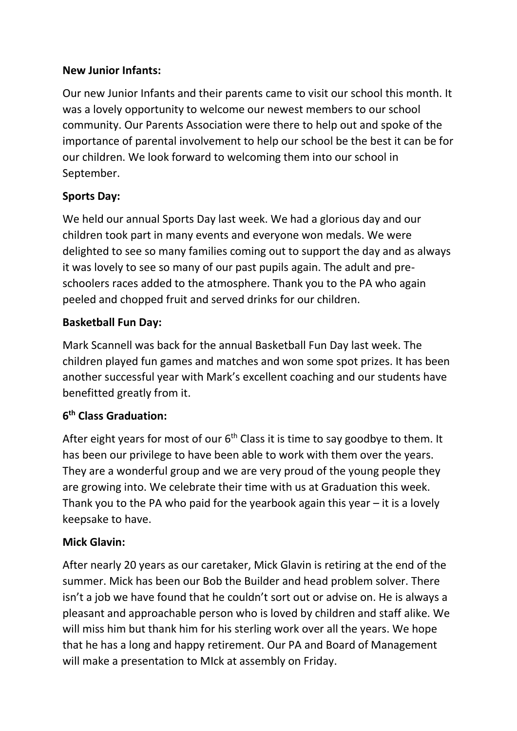### **New Junior Infants:**

Our new Junior Infants and their parents came to visit our school this month. It was a lovely opportunity to welcome our newest members to our school community. Our Parents Association were there to help out and spoke of the importance of parental involvement to help our school be the best it can be for our children. We look forward to welcoming them into our school in September.

# **Sports Day:**

We held our annual Sports Day last week. We had a glorious day and our children took part in many events and everyone won medals. We were delighted to see so many families coming out to support the day and as always it was lovely to see so many of our past pupils again. The adult and preschoolers races added to the atmosphere. Thank you to the PA who again peeled and chopped fruit and served drinks for our children.

### **Basketball Fun Day:**

Mark Scannell was back for the annual Basketball Fun Day last week. The children played fun games and matches and won some spot prizes. It has been another successful year with Mark's excellent coaching and our students have benefitted greatly from it.

# **6 th Class Graduation:**

After eight years for most of our  $6<sup>th</sup>$  Class it is time to say goodbye to them. It has been our privilege to have been able to work with them over the years. They are a wonderful group and we are very proud of the young people they are growing into. We celebrate their time with us at Graduation this week. Thank you to the PA who paid for the yearbook again this year  $-$  it is a lovely keepsake to have.

### **Mick Glavin:**

After nearly 20 years as our caretaker, Mick Glavin is retiring at the end of the summer. Mick has been our Bob the Builder and head problem solver. There isn't a job we have found that he couldn't sort out or advise on. He is always a pleasant and approachable person who is loved by children and staff alike. We will miss him but thank him for his sterling work over all the years. We hope that he has a long and happy retirement. Our PA and Board of Management will make a presentation to MIck at assembly on Friday.